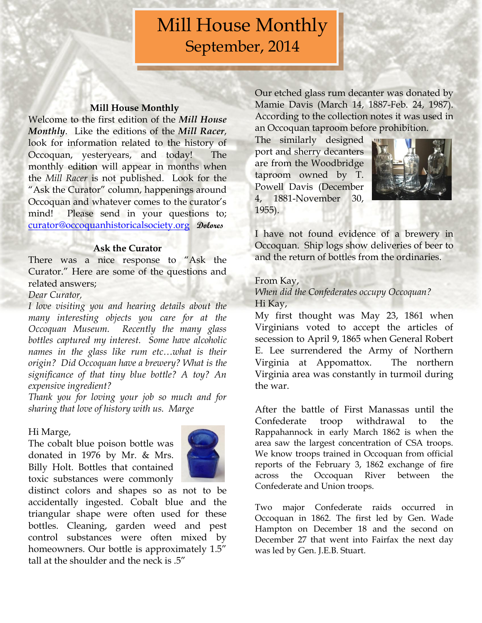# Mill House Monthly September, 2014

#### **Mill House Monthly**

Welcome to the first edition of the *Mill House Monthly*. Like the editions of the *Mill Racer*, look for information related to the history of Occoquan, yesteryears, and today! The monthly edition will appear in months when the *Mill Racer* is not published. Look for the "Ask the Curator" column, happenings around Occoquan and whatever comes to the curator's mind! Please send in your questions to; [curator@occoquanhistoricalsociety.org](mailto:curator@occoquanhistoricalsociety.org) **Dolores**

#### **Ask the Curator**

There was a nice response to "Ask the Curator." Here are some of the questions and related answers;

### *Dear Curator,*

*I love visiting you and hearing details about the many interesting objects you care for at the Occoquan Museum. Recently the many glass bottles captured my interest. Some have alcoholic names in the glass like rum etc…what is their origin? Did Occoquan have a brewery? What is the significance of that tiny blue bottle? A toy? An expensive ingredient?* 

*Thank you for loving your job so much and for sharing that love of history with us. Marge*

#### Hi Marge,

The cobalt blue poison bottle was donated in 1976 by Mr. & Mrs. Billy Holt. Bottles that contained toxic substances were commonly



distinct colors and shapes so as not to be accidentally ingested. Cobalt blue and the triangular shape were often used for these bottles. Cleaning, garden weed and pest control substances were often mixed by homeowners. Our bottle is approximately  $1.5$ " tall at the shoulder and the neck is .5"

Our etched glass rum decanter was donated by Mamie Davis (March 14, 1887-Feb. 24, 1987). According to the collection notes it was used in an Occoquan taproom before prohibition.

The similarly designed port and sherry decanters are from the Woodbridge taproom owned by T. Powell Davis (December 4, 1881-November 30, 1955).



I have not found evidence of a brewery in Occoquan. Ship logs show deliveries of beer to and the return of bottles from the ordinaries.

### From Kay,

*When did the Confederates occupy Occoquan?* Hi Kay,

My first thought was May 23, 1861 when Virginians voted to accept the articles of secession to April 9, 1865 when General Robert E. Lee surrendered the Army of Northern Virginia at Appomattox. The northern Virginia area was constantly in turmoil during the war.

After the battle of First Manassas until the Confederate troop withdrawal to the Rappahannock in early March 1862 is when the area saw the largest concentration of CSA troops. We know troops trained in Occoquan from official reports of the February 3, 1862 exchange of fire across the Occoquan River between the Confederate and Union troops.

Two major Confederate raids occurred in Occoquan in 1862. The first led by Gen. Wade Hampton on December 18 and the second on December 27 that went into Fairfax the next day was led by Gen. J.E.B. Stuart.